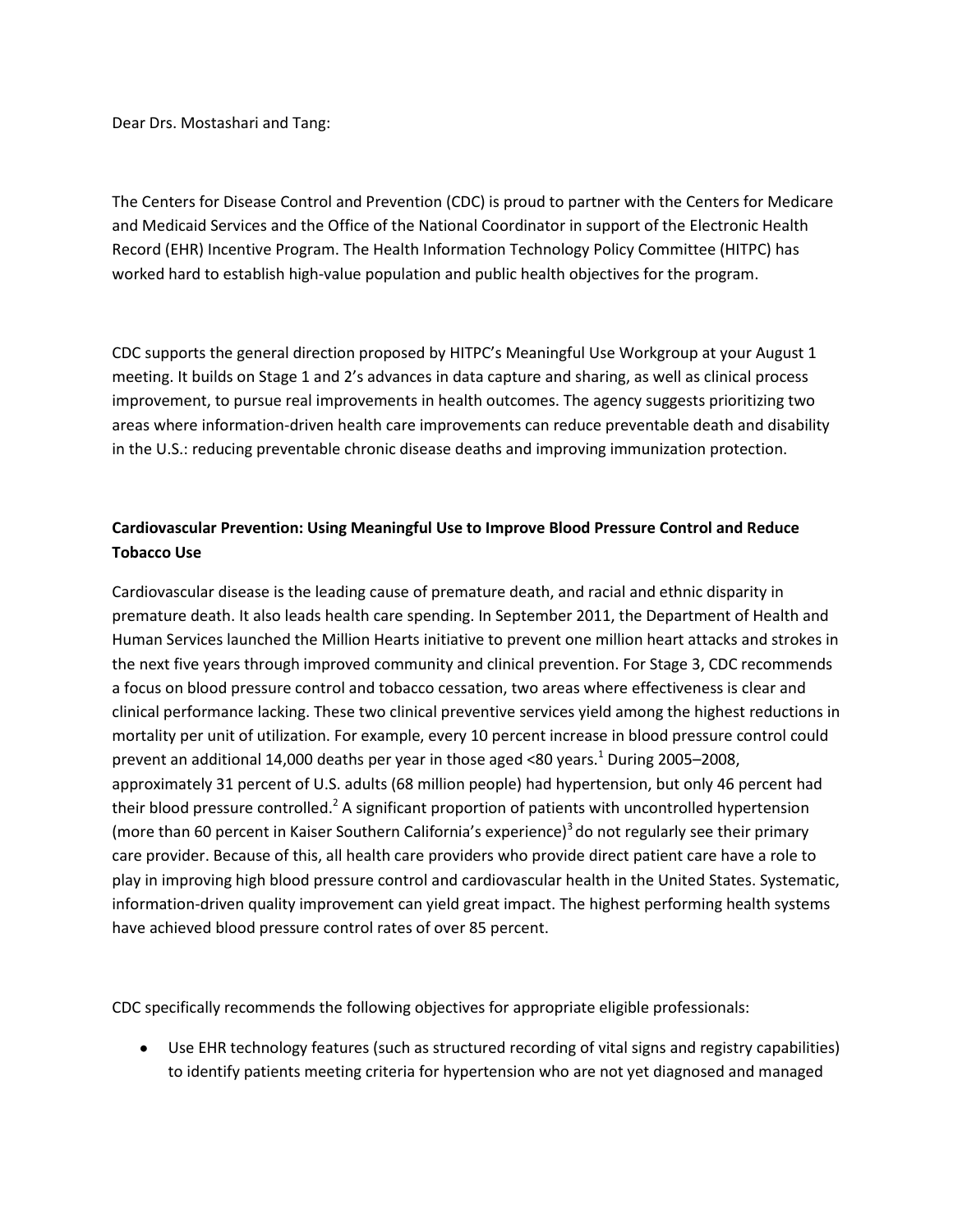Dear Drs. Mostashari and Tang:

The Centers for Disease Control and Prevention (CDC) is proud to partner with the Centers for Medicare and Medicaid Services and the Office of the National Coordinator in support of the Electronic Health Record (EHR) Incentive Program. The Health Information Technology Policy Committee (HITPC) has worked hard to establish high-value population and public health objectives for the program.

CDC supports the general direction proposed by HITPC's Meaningful Use Workgroup at your August 1 meeting. It builds on Stage 1 and 2's advances in data capture and sharing, as well as clinical process improvement, to pursue real improvements in health outcomes. The agency suggests prioritizing two areas where information-driven health care improvements can reduce preventable death and disability in the U.S.: reducing preventable chronic disease deaths and improving immunization protection.

## **Cardiovascular Prevention: Using Meaningful Use to Improve Blood Pressure Control and Reduce Tobacco Use**

Cardiovascular disease is the leading cause of premature death, and racial and ethnic disparity in premature death. It also leads health care spending. In September 2011, the Department of Health and Human Services launched the Million Hearts initiative to prevent one million heart attacks and strokes in the next five years through improved community and clinical prevention. For Stage 3, CDC recommends a focus on blood pressure control and tobacco cessation, two areas where effectiveness is clear and clinical performance lacking. These two clinical preventive services yield among the highest reductions in mortality per unit of utilization. For example, every 10 percent increase in blood pressure control could prevent an additional 14,000 deaths per year in those aged <80 years.<sup>1</sup> During 2005-2008, approximately 31 percent of U.S. adults (68 million people) had hypertension, but only 46 percent had their blood pressure controlled.<sup>2</sup> A significant proportion of patients with uncontrolled hypertension (more than 60 percent in Kaiser Southern California's experience) $3$  do not regularly see their primary care provider. Because of this, all health care providers who provide direct patient care have a role to play in improving high blood pressure control and cardiovascular health in the United States. Systematic, information-driven quality improvement can yield great impact. The highest performing health systems have achieved blood pressure control rates of over 85 percent.

CDC specifically recommends the following objectives for appropriate eligible professionals:

Use EHR technology features (such as structured recording of vital signs and registry capabilities)  $\bullet$ to identify patients meeting criteria for hypertension who are not yet diagnosed and managed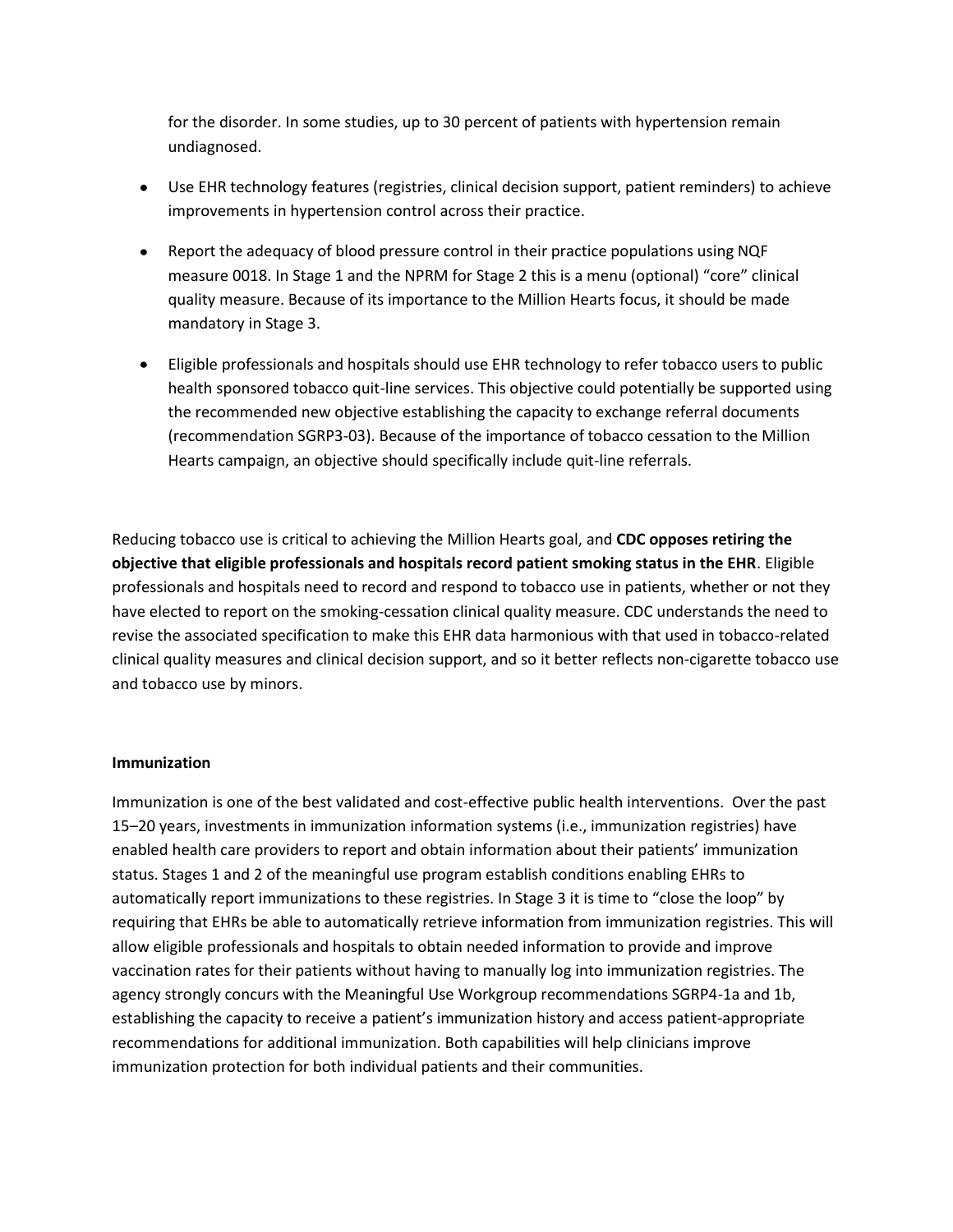for the disorder. In some studies, up to 30 percent of patients with hypertension remain undiagnosed.

- Use EHR technology features (registries, clinical decision support, patient reminders) to achieve improvements in hypertension control across their practice.
- Report the adequacy of blood pressure control in their practice populations using NQF measure 0018. In Stage 1 and the NPRM for Stage 2 this is a menu (optional) "core" clinical quality measure. Because of its importance to the Million Hearts focus, it should be made mandatory in Stage 3.
- Eligible professionals and hospitals should use EHR technology to refer tobacco users to public health sponsored tobacco quit-line services. This objective could potentially be supported using the recommended new objective establishing the capacity to exchange referral documents (recommendation SGRP3-03). Because of the importance of tobacco cessation to the Million Hearts campaign, an objective should specifically include quit-line referrals.

Reducing tobacco use is critical to achieving the Million Hearts goal, and **CDC opposes retiring the objective that eligible professionals and hospitals record patient smoking status in the EHR**. Eligible professionals and hospitals need to record and respond to tobacco use in patients, whether or not they have elected to report on the smoking-cessation clinical quality measure. CDC understands the need to revise the associated specification to make this EHR data harmonious with that used in tobacco-related clinical quality measures and clinical decision support, and so it better reflects non-cigarette tobacco use and tobacco use by minors.

## **Immunization**

Immunization is one of the best validated and cost-effective public health interventions. Over the past 15–20 years, investments in immunization information systems (i.e., immunization registries) have enabled health care providers to report and obtain information about their patients' immunization status. Stages 1 and 2 of the meaningful use program establish conditions enabling EHRs to automatically report immunizations to these registries. In Stage 3 it is time to "close the loop" by requiring that EHRs be able to automatically retrieve information from immunization registries. This will allow eligible professionals and hospitals to obtain needed information to provide and improve vaccination rates for their patients without having to manually log into immunization registries. The agency strongly concurs with the Meaningful Use Workgroup recommendations SGRP4-1a and 1b, establishing the capacity to receive a patient's immunization history and access patient-appropriate recommendations for additional immunization. Both capabilities will help clinicians improve immunization protection for both individual patients and their communities.